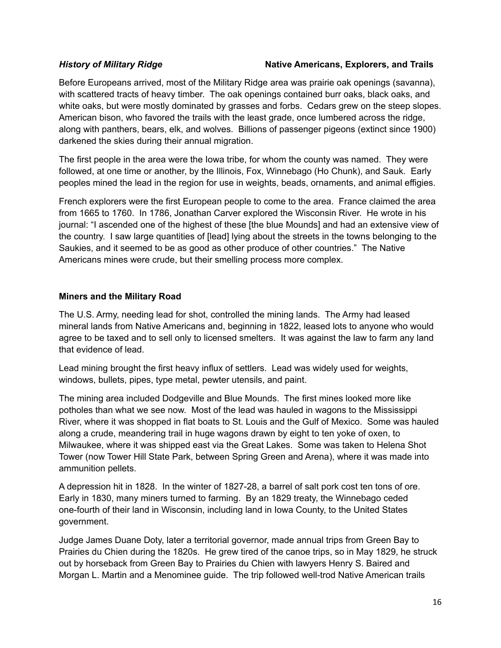#### *History of Military Ridge* **Native Americans, Explorers, and Trails**

Before Europeans arrived, most of the Military Ridge area was prairie oak openings (savanna), with scattered tracts of heavy timber. The oak openings contained burr oaks, black oaks, and white oaks, but were mostly dominated by grasses and forbs. Cedars grew on the steep slopes. American bison, who favored the trails with the least grade, once lumbered across the ridge, along with panthers, bears, elk, and wolves. Billions of passenger pigeons (extinct since 1900) darkened the skies during their annual migration.

The first people in the area were the Iowa tribe, for whom the county was named. They were followed, at one time or another, by the Illinois, Fox, Winnebago (Ho Chunk), and Sauk. Early peoples mined the lead in the region for use in weights, beads, ornaments, and animal effigies.

French explorers were the first European people to come to the area. France claimed the area from 1665 to 1760. In 1786, Jonathan Carver explored the Wisconsin River. He wrote in his journal: "I ascended one of the highest of these [the blue Mounds] and had an extensive view of the country. I saw large quantities of [lead] lying about the streets in the towns belonging to the Saukies, and it seemed to be as good as other produce of other countries." The Native Americans mines were crude, but their smelling process more complex.

#### **Miners and the Military Road**

The U.S. Army, needing lead for shot, controlled the mining lands. The Army had leased mineral lands from Native Americans and, beginning in 1822, leased lots to anyone who would agree to be taxed and to sell only to licensed smelters. It was against the law to farm any land that evidence of lead.

Lead mining brought the first heavy influx of settlers. Lead was widely used for weights, windows, bullets, pipes, type metal, pewter utensils, and paint.

The mining area included Dodgeville and Blue Mounds. The first mines looked more like potholes than what we see now. Most of the lead was hauled in wagons to the Mississippi River, where it was shopped in flat boats to St. Louis and the Gulf of Mexico. Some was hauled along a crude, meandering trail in huge wagons drawn by eight to ten yoke of oxen, to Milwaukee, where it was shipped east via the Great Lakes. Some was taken to Helena Shot Tower (now Tower Hill State Park, between Spring Green and Arena), where it was made into ammunition pellets.

A depression hit in 1828. In the winter of 1827-28, a barrel of salt pork cost ten tons of ore. Early in 1830, many miners turned to farming. By an 1829 treaty, the Winnebago ceded one-fourth of their land in Wisconsin, including land in Iowa County, to the United States government.

Judge James Duane Doty, later a territorial governor, made annual trips from Green Bay to Prairies du Chien during the 1820s. He grew tired of the canoe trips, so in May 1829, he struck out by horseback from Green Bay to Prairies du Chien with lawyers Henry S. Baired and Morgan L. Martin and a Menominee guide. The trip followed well-trod Native American trails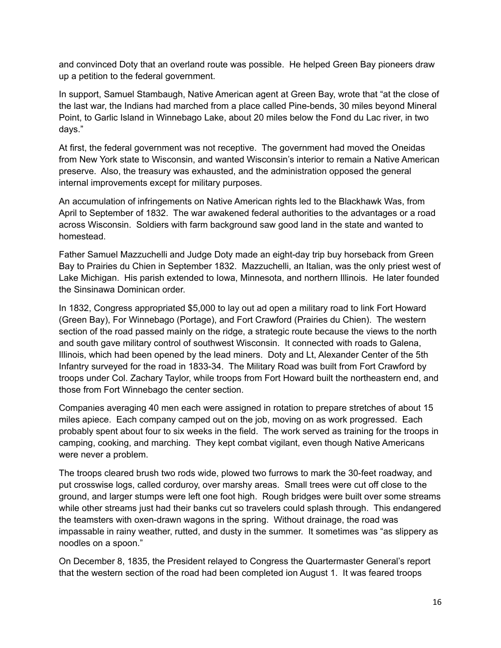and convinced Doty that an overland route was possible. He helped Green Bay pioneers draw up a petition to the federal government.

In support, Samuel Stambaugh, Native American agent at Green Bay, wrote that "at the close of the last war, the Indians had marched from a place called Pine-bends, 30 miles beyond Mineral Point, to Garlic Island in Winnebago Lake, about 20 miles below the Fond du Lac river, in two days."

At first, the federal government was not receptive. The government had moved the Oneidas from New York state to Wisconsin, and wanted Wisconsin's interior to remain a Native American preserve. Also, the treasury was exhausted, and the administration opposed the general internal improvements except for military purposes.

An accumulation of infringements on Native American rights led to the Blackhawk Was, from April to September of 1832. The war awakened federal authorities to the advantages or a road across Wisconsin. Soldiers with farm background saw good land in the state and wanted to homestead.

Father Samuel Mazzuchelli and Judge Doty made an eight-day trip buy horseback from Green Bay to Prairies du Chien in September 1832. Mazzuchelli, an Italian, was the only priest west of Lake Michigan. His parish extended to Iowa, Minnesota, and northern Illinois. He later founded the Sinsinawa Dominican order.

In 1832, Congress appropriated \$5,000 to lay out ad open a military road to link Fort Howard (Green Bay), For Winnebago (Portage), and Fort Crawford (Prairies du Chien). The western section of the road passed mainly on the ridge, a strategic route because the views to the north and south gave military control of southwest Wisconsin. It connected with roads to Galena, Illinois, which had been opened by the lead miners. Doty and Lt, Alexander Center of the 5th Infantry surveyed for the road in 1833-34. The Military Road was built from Fort Crawford by troops under Col. Zachary Taylor, while troops from Fort Howard built the northeastern end, and those from Fort Winnebago the center section.

Companies averaging 40 men each were assigned in rotation to prepare stretches of about 15 miles apiece. Each company camped out on the job, moving on as work progressed. Each probably spent about four to six weeks in the field. The work served as training for the troops in camping, cooking, and marching. They kept combat vigilant, even though Native Americans were never a problem.

The troops cleared brush two rods wide, plowed two furrows to mark the 30-feet roadway, and put crosswise logs, called corduroy, over marshy areas. Small trees were cut off close to the ground, and larger stumps were left one foot high. Rough bridges were built over some streams while other streams just had their banks cut so travelers could splash through. This endangered the teamsters with oxen-drawn wagons in the spring. Without drainage, the road was impassable in rainy weather, rutted, and dusty in the summer. It sometimes was "as slippery as noodles on a spoon."

On December 8, 1835, the President relayed to Congress the Quartermaster General's report that the western section of the road had been completed ion August 1. It was feared troops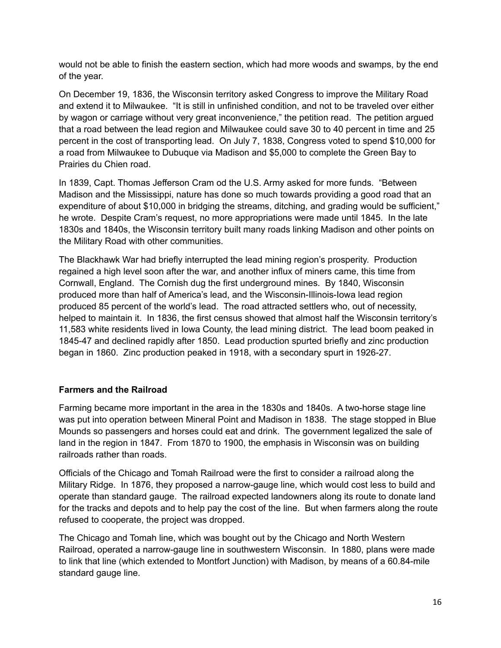would not be able to finish the eastern section, which had more woods and swamps, by the end of the year.

On December 19, 1836, the Wisconsin territory asked Congress to improve the Military Road and extend it to Milwaukee. "It is still in unfinished condition, and not to be traveled over either by wagon or carriage without very great inconvenience," the petition read. The petition argued that a road between the lead region and Milwaukee could save 30 to 40 percent in time and 25 percent in the cost of transporting lead. On July 7, 1838, Congress voted to spend \$10,000 for a road from Milwaukee to Dubuque via Madison and \$5,000 to complete the Green Bay to Prairies du Chien road.

In 1839, Capt. Thomas Jefferson Cram od the U.S. Army asked for more funds. "Between Madison and the Mississippi, nature has done so much towards providing a good road that an expenditure of about \$10,000 in bridging the streams, ditching, and grading would be sufficient," he wrote. Despite Cram's request, no more appropriations were made until 1845. In the late 1830s and 1840s, the Wisconsin territory built many roads linking Madison and other points on the Military Road with other communities.

The Blackhawk War had briefly interrupted the lead mining region's prosperity. Production regained a high level soon after the war, and another influx of miners came, this time from Cornwall, England. The Cornish dug the first underground mines. By 1840, Wisconsin produced more than half of America's lead, and the Wisconsin-Illinois-Iowa lead region produced 85 percent of the world's lead. The road attracted settlers who, out of necessity, helped to maintain it. In 1836, the first census showed that almost half the Wisconsin territory's 11,583 white residents lived in Iowa County, the lead mining district. The lead boom peaked in 1845-47 and declined rapidly after 1850. Lead production spurted briefly and zinc production began in 1860. Zinc production peaked in 1918, with a secondary spurt in 1926-27.

## **Farmers and the Railroad**

Farming became more important in the area in the 1830s and 1840s. A two-horse stage line was put into operation between Mineral Point and Madison in 1838. The stage stopped in Blue Mounds so passengers and horses could eat and drink. The government legalized the sale of land in the region in 1847. From 1870 to 1900, the emphasis in Wisconsin was on building railroads rather than roads.

Officials of the Chicago and Tomah Railroad were the first to consider a railroad along the Military Ridge. In 1876, they proposed a narrow-gauge line, which would cost less to build and operate than standard gauge. The railroad expected landowners along its route to donate land for the tracks and depots and to help pay the cost of the line. But when farmers along the route refused to cooperate, the project was dropped.

The Chicago and Tomah line, which was bought out by the Chicago and North Western Railroad, operated a narrow-gauge line in southwestern Wisconsin. In 1880, plans were made to link that line (which extended to Montfort Junction) with Madison, by means of a 60.84-mile standard gauge line.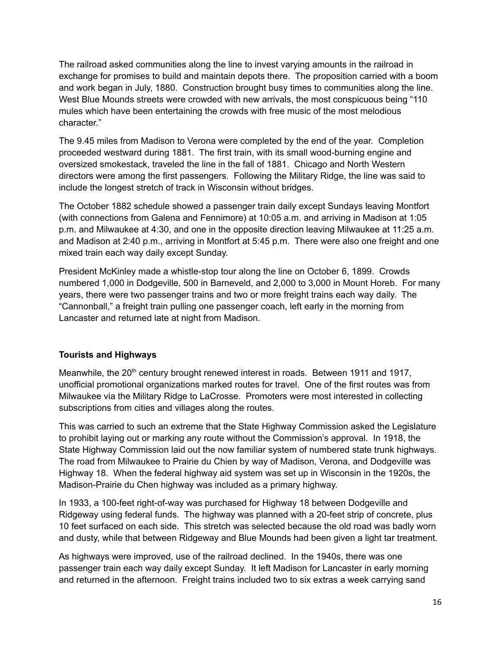The railroad asked communities along the line to invest varying amounts in the railroad in exchange for promises to build and maintain depots there. The proposition carried with a boom and work began in July, 1880. Construction brought busy times to communities along the line. West Blue Mounds streets were crowded with new arrivals, the most conspicuous being "110 mules which have been entertaining the crowds with free music of the most melodious character."

The 9.45 miles from Madison to Verona were completed by the end of the year. Completion proceeded westward during 1881. The first train, with its small wood-burning engine and oversized smokestack, traveled the line in the fall of 1881. Chicago and North Western directors were among the first passengers. Following the Military Ridge, the line was said to include the longest stretch of track in Wisconsin without bridges.

The October 1882 schedule showed a passenger train daily except Sundays leaving Montfort (with connections from Galena and Fennimore) at 10:05 a.m. and arriving in Madison at 1:05 p.m. and Milwaukee at 4:30, and one in the opposite direction leaving Milwaukee at 11:25 a.m. and Madison at 2:40 p.m., arriving in Montfort at 5:45 p.m. There were also one freight and one mixed train each way daily except Sunday.

President McKinley made a whistle-stop tour along the line on October 6, 1899. Crowds numbered 1,000 in Dodgeville, 500 in Barneveld, and 2,000 to 3,000 in Mount Horeb. For many years, there were two passenger trains and two or more freight trains each way daily. The "Cannonball," a freight train pulling one passenger coach, left early in the morning from Lancaster and returned late at night from Madison.

## **Tourists and Highways**

Meanwhile, the  $20<sup>th</sup>$  century brought renewed interest in roads. Between 1911 and 1917, unofficial promotional organizations marked routes for travel. One of the first routes was from Milwaukee via the Military Ridge to LaCrosse. Promoters were most interested in collecting subscriptions from cities and villages along the routes.

This was carried to such an extreme that the State Highway Commission asked the Legislature to prohibit laying out or marking any route without the Commission's approval. In 1918, the State Highway Commission laid out the now familiar system of numbered state trunk highways. The road from Milwaukee to Prairie du Chien by way of Madison, Verona, and Dodgeville was Highway 18. When the federal highway aid system was set up in Wisconsin in the 1920s, the Madison-Prairie du Chen highway was included as a primary highway.

In 1933, a 100-feet right-of-way was purchased for Highway 18 between Dodgeville and Ridgeway using federal funds. The highway was planned with a 20-feet strip of concrete, plus 10 feet surfaced on each side. This stretch was selected because the old road was badly worn and dusty, while that between Ridgeway and Blue Mounds had been given a light tar treatment.

As highways were improved, use of the railroad declined. In the 1940s, there was one passenger train each way daily except Sunday. It left Madison for Lancaster in early morning and returned in the afternoon. Freight trains included two to six extras a week carrying sand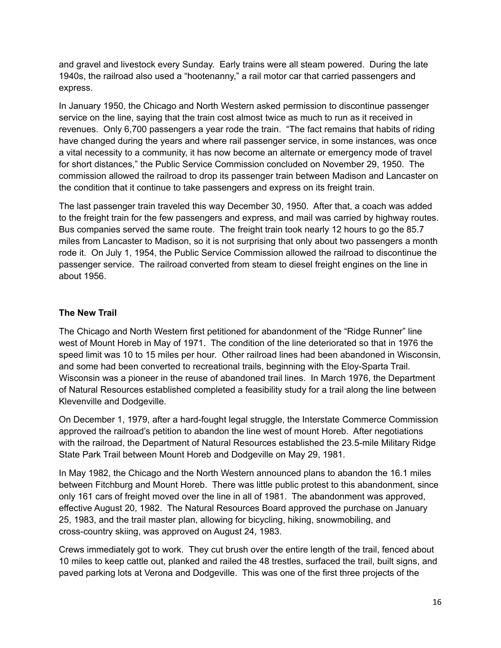and gravel and livestock every Sunday. Early trains were all steam powered. During the late 1940s, the railroad also used a "hootenanny," a rail motor car that carried passengers and express.

In January 1950, the Chicago and North Western asked permission to discontinue passenger service on the line, saying that the train cost almost twice as much to run as it received in revenues. Only 6,700 passengers a year rode the train. "The fact remains that habits of riding have changed during the years and where rail passenger service, in some instances, was once a vital necessity to a community, it has now become an alternate or emergency mode of travel for short distances," the Public Service Commission concluded on November 29, 1950. The commission allowed the railroad to drop its passenger train between Madison and Lancaster on the condition that it continue to take passengers and express on its freight train.

The last passenger train traveled this way December 30, 1950. After that, a coach was added to the freight train for the few passengers and express, and mail was carried by highway routes. Bus companies served the same route. The freight train took nearly 12 hours to go the 85.7 miles from Lancaster to Madison, so it is not surprising that only about two passengers a month rode it. On July 1, 1954, the Public Service Commission allowed the railroad to discontinue the passenger service. The railroad converted from steam to diesel freight engines on the line in about 1956.

## **The New Trail**

The Chicago and North Western first petitioned for abandonment of the "Ridge Runner" line west of Mount Horeb in May of 1971. The condition of the line deteriorated so that in 1976 the speed limit was 10 to 15 miles per hour. Other railroad lines had been abandoned in Wisconsin, and some had been converted to recreational trails, beginning with the Eloy-Sparta Trail. Wisconsin was a pioneer in the reuse of abandoned trail lines. In March 1976, the Department of Natural Resources established completed a feasibility study for a trail along the line between Klevenville and Dodgeville.

On December 1, 1979, after a hard-fought legal struggle, the Interstate Commerce Commission approved the railroad's petition to abandon the line west of mount Horeb. After negotiations with the railroad, the Department of Natural Resources established the 23.5-mile Military Ridge State Park Trail between Mount Horeb and Dodgeville on May 29, 1981.

In May 1982, the Chicago and the North Western announced plans to abandon the 16.1 miles between Fitchburg and Mount Horeb. There was little public protest to this abandonment, since only 161 cars of freight moved over the line in all of 1981. The abandonment was approved, effective August 20, 1982. The Natural Resources Board approved the purchase on January 25, 1983, and the trail master plan, allowing for bicycling, hiking, snowmobiling, and cross-country skiing, was approved on August 24, 1983.

Crews immediately got to work. They cut brush over the entire length of the trail, fenced about 10 miles to keep cattle out, planked and railed the 48 trestles, surfaced the trail, built signs, and paved parking lots at Verona and Dodgeville. This was one of the first three projects of the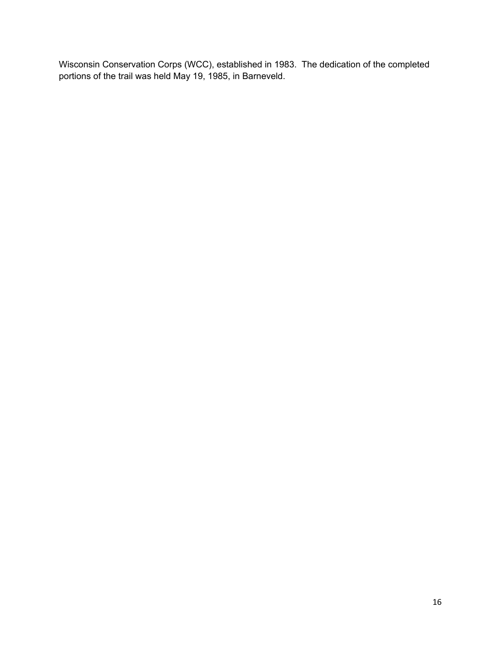Wisconsin Conservation Corps (WCC), established in 1983. The dedication of the completed portions of the trail was held May 19, 1985, in Barneveld.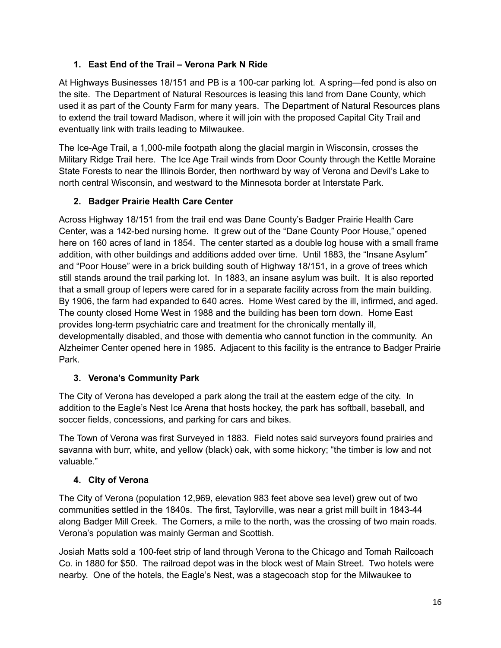# **1. East End of the Trail – Verona Park N Ride**

At Highways Businesses 18/151 and PB is a 100-car parking lot. A spring—fed pond is also on the site. The Department of Natural Resources is leasing this land from Dane County, which used it as part of the County Farm for many years. The Department of Natural Resources plans to extend the trail toward Madison, where it will join with the proposed Capital City Trail and eventually link with trails leading to Milwaukee.

The Ice-Age Trail, a 1,000-mile footpath along the glacial margin in Wisconsin, crosses the Military Ridge Trail here. The Ice Age Trail winds from Door County through the Kettle Moraine State Forests to near the Illinois Border, then northward by way of Verona and Devil's Lake to north central Wisconsin, and westward to the Minnesota border at Interstate Park.

# **2. Badger Prairie Health Care Center**

Across Highway 18/151 from the trail end was Dane County's Badger Prairie Health Care Center, was a 142-bed nursing home. It grew out of the "Dane County Poor House," opened here on 160 acres of land in 1854. The center started as a double log house with a small frame addition, with other buildings and additions added over time. Until 1883, the "Insane Asylum" and "Poor House" were in a brick building south of Highway 18/151, in a grove of trees which still stands around the trail parking lot. In 1883, an insane asylum was built. It is also reported that a small group of lepers were cared for in a separate facility across from the main building. By 1906, the farm had expanded to 640 acres. Home West cared by the ill, infirmed, and aged. The county closed Home West in 1988 and the building has been torn down. Home East provides long-term psychiatric care and treatment for the chronically mentally ill, developmentally disabled, and those with dementia who cannot function in the community. An Alzheimer Center opened here in 1985. Adjacent to this facility is the entrance to Badger Prairie Park.

## **3. Verona's Community Park**

The City of Verona has developed a park along the trail at the eastern edge of the city. In addition to the Eagle's Nest Ice Arena that hosts hockey, the park has softball, baseball, and soccer fields, concessions, and parking for cars and bikes.

The Town of Verona was first Surveyed in 1883. Field notes said surveyors found prairies and savanna with burr, white, and yellow (black) oak, with some hickory; "the timber is low and not valuable."

## **4. City of Verona**

The City of Verona (population 12,969, elevation 983 feet above sea level) grew out of two communities settled in the 1840s. The first, Taylorville, was near a grist mill built in 1843-44 along Badger Mill Creek. The Corners, a mile to the north, was the crossing of two main roads. Verona's population was mainly German and Scottish.

Josiah Matts sold a 100-feet strip of land through Verona to the Chicago and Tomah Railcoach Co. in 1880 for \$50. The railroad depot was in the block west of Main Street. Two hotels were nearby. One of the hotels, the Eagle's Nest, was a stagecoach stop for the Milwaukee to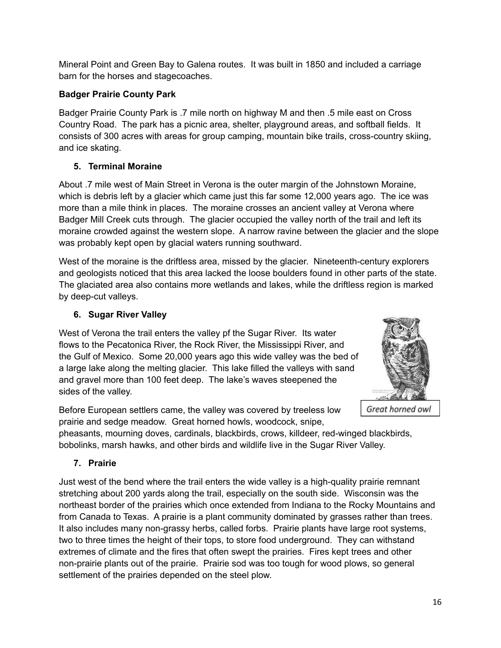Mineral Point and Green Bay to Galena routes. It was built in 1850 and included a carriage barn for the horses and stagecoaches.

# **Badger Prairie County Park**

Badger Prairie County Park is .7 mile north on highway M and then .5 mile east on Cross Country Road. The park has a picnic area, shelter, playground areas, and softball fields. It consists of 300 acres with areas for group camping, mountain bike trails, cross-country skiing, and ice skating.

# **5. Terminal Moraine**

About .7 mile west of Main Street in Verona is the outer margin of the Johnstown Moraine, which is debris left by a glacier which came just this far some 12,000 years ago. The ice was more than a mile think in places. The moraine crosses an ancient valley at Verona where Badger Mill Creek cuts through. The glacier occupied the valley north of the trail and left its moraine crowded against the western slope. A narrow ravine between the glacier and the slope was probably kept open by glacial waters running southward.

West of the moraine is the driftless area, missed by the glacier. Nineteenth-century explorers and geologists noticed that this area lacked the loose boulders found in other parts of the state. The glaciated area also contains more wetlands and lakes, while the driftless region is marked by deep-cut valleys.

# **6. Sugar River Valley**

West of Verona the trail enters the valley pf the Sugar River. Its water flows to the Pecatonica River, the Rock River, the Mississippi River, and the Gulf of Mexico. Some 20,000 years ago this wide valley was the bed of a large lake along the melting glacier. This lake filled the valleys with sand and gravel more than 100 feet deep. The lake's waves steepened the sides of the valley.



Before European settlers came, the valley was covered by treeless low prairie and sedge meadow. Great horned howls, woodcock, snipe,

Great horned owl

pheasants, mourning doves, cardinals, blackbirds, crows, killdeer, red-winged blackbirds, bobolinks, marsh hawks, and other birds and wildlife live in the Sugar River Valley.

# **7. Prairie**

Just west of the bend where the trail enters the wide valley is a high-quality prairie remnant stretching about 200 yards along the trail, especially on the south side. Wisconsin was the northeast border of the prairies which once extended from Indiana to the Rocky Mountains and from Canada to Texas. A prairie is a plant community dominated by grasses rather than trees. It also includes many non-grassy herbs, called forbs. Prairie plants have large root systems, two to three times the height of their tops, to store food underground. They can withstand extremes of climate and the fires that often swept the prairies. Fires kept trees and other non-prairie plants out of the prairie. Prairie sod was too tough for wood plows, so general settlement of the prairies depended on the steel plow.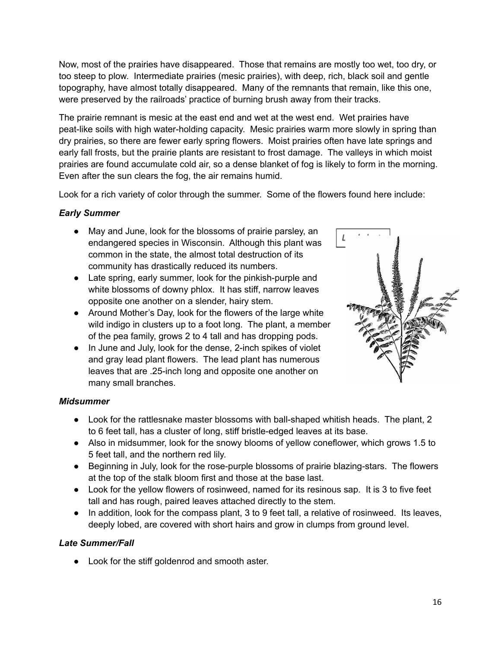Now, most of the prairies have disappeared. Those that remains are mostly too wet, too dry, or too steep to plow. Intermediate prairies (mesic prairies), with deep, rich, black soil and gentle topography, have almost totally disappeared. Many of the remnants that remain, like this one, were preserved by the railroads' practice of burning brush away from their tracks.

The prairie remnant is mesic at the east end and wet at the west end. Wet prairies have peat-like soils with high water-holding capacity. Mesic prairies warm more slowly in spring than dry prairies, so there are fewer early spring flowers. Moist prairies often have late springs and early fall frosts, but the prairie plants are resistant to frost damage. The valleys in which moist prairies are found accumulate cold air, so a dense blanket of fog is likely to form in the morning. Even after the sun clears the fog, the air remains humid.

Look for a rich variety of color through the summer. Some of the flowers found here include:

# *Early Summer*

- May and June, look for the blossoms of prairie parsley, an endangered species in Wisconsin. Although this plant was common in the state, the almost total destruction of its community has drastically reduced its numbers.
- Late spring, early summer, look for the pinkish-purple and white blossoms of downy phlox. It has stiff, narrow leaves opposite one another on a slender, hairy stem.
- Around Mother's Day, look for the flowers of the large white wild indigo in clusters up to a foot long. The plant, a member of the pea family, grows 2 to 4 tall and has dropping pods.
- In June and July, look for the dense, 2-inch spikes of violet and gray lead plant flowers. The lead plant has numerous leaves that are .25-inch long and opposite one another on many small branches.



## *Midsummer*

- Look for the rattlesnake master blossoms with ball-shaped whitish heads. The plant, 2 to 6 feet tall, has a cluster of long, stiff bristle-edged leaves at its base.
- Also in midsummer, look for the snowy blooms of yellow coneflower, which grows 1.5 to 5 feet tall, and the northern red lily.
- Beginning in July, look for the rose-purple blossoms of prairie blazing-stars. The flowers at the top of the stalk bloom first and those at the base last.
- Look for the yellow flowers of rosinweed, named for its resinous sap. It is 3 to five feet tall and has rough, paired leaves attached directly to the stem.
- In addition, look for the compass plant, 3 to 9 feet tall, a relative of rosinweed. Its leaves, deeply lobed, are covered with short hairs and grow in clumps from ground level.

## *Late Summer/Fall*

● Look for the stiff goldenrod and smooth aster.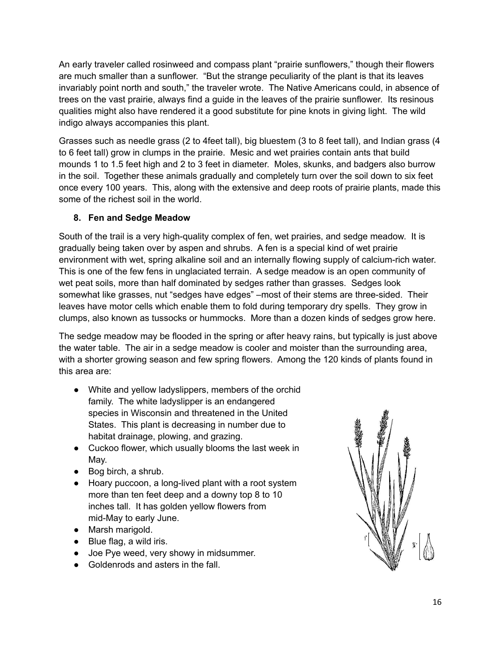An early traveler called rosinweed and compass plant "prairie sunflowers," though their flowers are much smaller than a sunflower. "But the strange peculiarity of the plant is that its leaves invariably point north and south," the traveler wrote. The Native Americans could, in absence of trees on the vast prairie, always find a guide in the leaves of the prairie sunflower. Its resinous qualities might also have rendered it a good substitute for pine knots in giving light. The wild indigo always accompanies this plant.

Grasses such as needle grass (2 to 4feet tall), big bluestem (3 to 8 feet tall), and Indian grass (4 to 6 feet tall) grow in clumps in the prairie. Mesic and wet prairies contain ants that build mounds 1 to 1.5 feet high and 2 to 3 feet in diameter. Moles, skunks, and badgers also burrow in the soil. Together these animals gradually and completely turn over the soil down to six feet once every 100 years. This, along with the extensive and deep roots of prairie plants, made this some of the richest soil in the world.

## **8. Fen and Sedge Meadow**

South of the trail is a very high-quality complex of fen, wet prairies, and sedge meadow. It is gradually being taken over by aspen and shrubs. A fen is a special kind of wet prairie environment with wet, spring alkaline soil and an internally flowing supply of calcium-rich water. This is one of the few fens in unglaciated terrain. A sedge meadow is an open community of wet peat soils, more than half dominated by sedges rather than grasses. Sedges look somewhat like grasses, nut "sedges have edges" –most of their stems are three-sided. Their leaves have motor cells which enable them to fold during temporary dry spells. They grow in clumps, also known as tussocks or hummocks. More than a dozen kinds of sedges grow here.

The sedge meadow may be flooded in the spring or after heavy rains, but typically is just above the water table. The air in a sedge meadow is cooler and moister than the surrounding area, with a shorter growing season and few spring flowers. Among the 120 kinds of plants found in this area are:

- White and yellow ladyslippers, members of the orchid family. The white ladyslipper is an endangered species in Wisconsin and threatened in the United States. This plant is decreasing in number due to habitat drainage, plowing, and grazing.
- Cuckoo flower, which usually blooms the last week in May.
- Bog birch, a shrub.
- Hoary puccoon, a long-lived plant with a root system more than ten feet deep and a downy top 8 to 10 inches tall. It has golden yellow flowers from mid-May to early June.
- Marsh marigold.
- Blue flag, a wild iris.
- Joe Pye weed, very showy in midsummer.
- Goldenrods and asters in the fall.

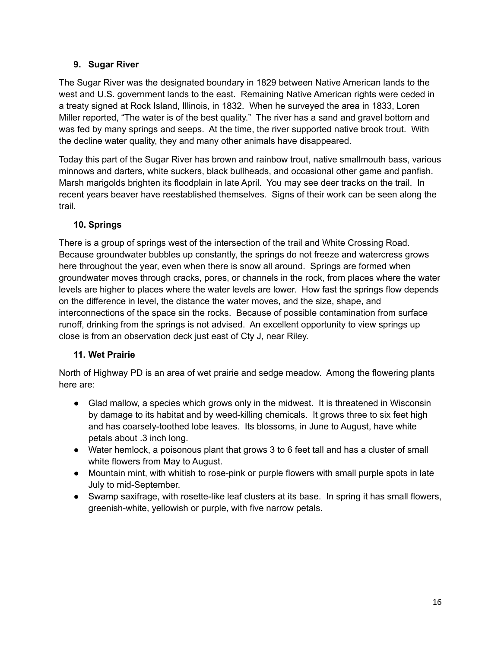## **9. Sugar River**

The Sugar River was the designated boundary in 1829 between Native American lands to the west and U.S. government lands to the east. Remaining Native American rights were ceded in a treaty signed at Rock Island, Illinois, in 1832. When he surveyed the area in 1833, Loren Miller reported, "The water is of the best quality." The river has a sand and gravel bottom and was fed by many springs and seeps. At the time, the river supported native brook trout. With the decline water quality, they and many other animals have disappeared.

Today this part of the Sugar River has brown and rainbow trout, native smallmouth bass, various minnows and darters, white suckers, black bullheads, and occasional other game and panfish. Marsh marigolds brighten its floodplain in late April. You may see deer tracks on the trail. In recent years beaver have reestablished themselves. Signs of their work can be seen along the trail.

# **10. Springs**

There is a group of springs west of the intersection of the trail and White Crossing Road. Because groundwater bubbles up constantly, the springs do not freeze and watercress grows here throughout the year, even when there is snow all around. Springs are formed when groundwater moves through cracks, pores, or channels in the rock, from places where the water levels are higher to places where the water levels are lower. How fast the springs flow depends on the difference in level, the distance the water moves, and the size, shape, and interconnections of the space sin the rocks. Because of possible contamination from surface runoff, drinking from the springs is not advised. An excellent opportunity to view springs up close is from an observation deck just east of Cty J, near Riley.

## **11. Wet Prairie**

North of Highway PD is an area of wet prairie and sedge meadow. Among the flowering plants here are:

- Glad mallow, a species which grows only in the midwest. It is threatened in Wisconsin by damage to its habitat and by weed-killing chemicals. It grows three to six feet high and has coarsely-toothed lobe leaves. Its blossoms, in June to August, have white petals about .3 inch long.
- Water hemlock, a poisonous plant that grows 3 to 6 feet tall and has a cluster of small white flowers from May to August.
- Mountain mint, with whitish to rose-pink or purple flowers with small purple spots in late July to mid-September.
- Swamp saxifrage, with rosette-like leaf clusters at its base. In spring it has small flowers, greenish-white, yellowish or purple, with five narrow petals.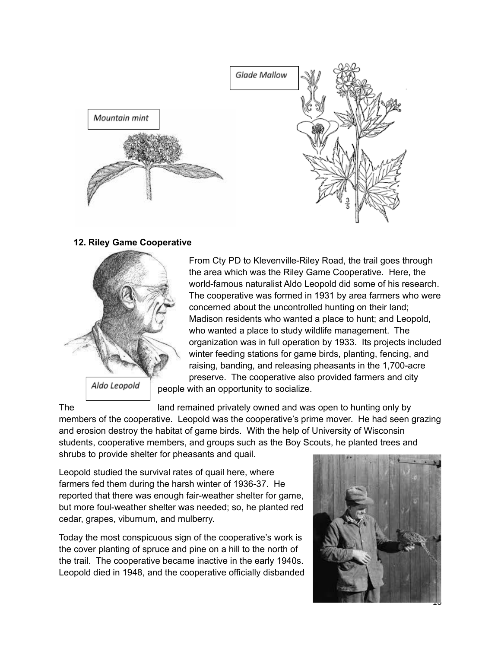

#### **12. Riley Game Cooperative**



From Cty PD to Klevenville-Riley Road, the trail goes through the area which was the Riley Game Cooperative. Here, the world-famous naturalist Aldo Leopold did some of his research. The cooperative was formed in 1931 by area farmers who were concerned about the uncontrolled hunting on their land; Madison residents who wanted a place to hunt; and Leopold, who wanted a place to study wildlife management. The organization was in full operation by 1933. Its projects included winter feeding stations for game birds, planting, fencing, and raising, banding, and releasing pheasants in the 1,700-acre preserve. The cooperative also provided farmers and city people with an opportunity to socialize.

The land remained privately owned and was open to hunting only by members of the cooperative. Leopold was the cooperative's prime mover. He had seen grazing and erosion destroy the habitat of game birds. With the help of University of Wisconsin students, cooperative members, and groups such as the Boy Scouts, he planted trees and shrubs to provide shelter for pheasants and quail.

Leopold studied the survival rates of quail here, where farmers fed them during the harsh winter of 1936-37. He reported that there was enough fair-weather shelter for game, but more foul-weather shelter was needed; so, he planted red cedar, grapes, viburnum, and mulberry.

Today the most conspicuous sign of the cooperative's work is the cover planting of spruce and pine on a hill to the north of the trail. The cooperative became inactive in the early 1940s. Leopold died in 1948, and the cooperative officially disbanded

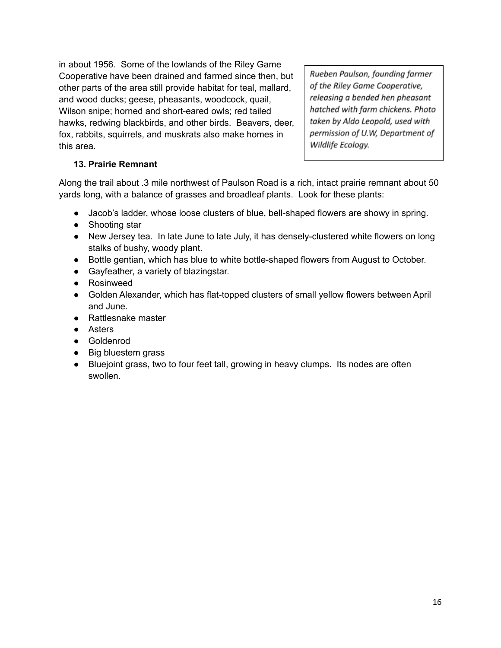in about 1956. Some of the lowlands of the Riley Game Cooperative have been drained and farmed since then, but other parts of the area still provide habitat for teal, mallard, and wood ducks; geese, pheasants, woodcock, quail, Wilson snipe; horned and short-eared owls; red tailed hawks, redwing blackbirds, and other birds. Beavers, deer, fox, rabbits, squirrels, and muskrats also make homes in this area.

Rueben Paulson, founding farmer of the Riley Game Cooperative, releasing a bended hen pheasant hatched with farm chickens. Photo taken by Aldo Leopold, used with permission of U.W, Department of Wildlife Ecology.

## **13. Prairie Remnant**

Along the trail about .3 mile northwest of Paulson Road is a rich, intact prairie remnant about 50 yards long, with a balance of grasses and broadleaf plants. Look for these plants:

- Jacob's ladder, whose loose clusters of blue, bell-shaped flowers are showy in spring.
- Shooting star
- New Jersey tea. In late June to late July, it has densely-clustered white flowers on long stalks of bushy, woody plant.
- Bottle gentian, which has blue to white bottle-shaped flowers from August to October.
- Gayfeather, a variety of blazingstar.
- Rosinweed
- Golden Alexander, which has flat-topped clusters of small yellow flowers between April and June.
- Rattlesnake master
- Asters
- Goldenrod
- Big bluestem grass
- Bluejoint grass, two to four feet tall, growing in heavy clumps. Its nodes are often swollen.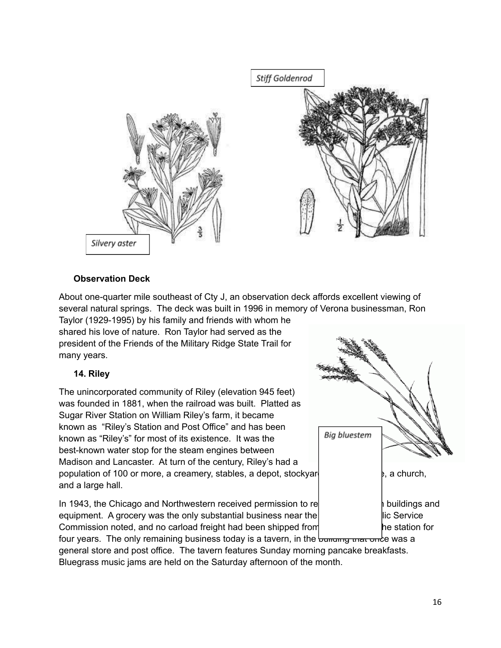

## **Observation Deck**

About one-quarter mile southeast of Cty J, an observation deck affords excellent viewing of several natural springs. The deck was built in 1996 in memory of Verona businessman, Ron Taylor (1929-1995) by his family and friends with whom he shared his love of nature. Ron Taylor had served as the president of the Friends of the Military Ridge State Trail for many years.

## **14. Riley**

The unincorporated community of Riley (elevation 945 feet) was founded in 1881, when the railroad was built. Platted as Sugar River Station on William Riley's farm, it became known as "Riley's Station and Post Office" and has been known as "Riley's" for most of its existence. It was the best-known water stop for the steam engines between Madison and Lancaster. At turn of the century, Riley's had a population of 100 or more, a creamery, stables, a depot, stockyards, general states, a church, and a large hall.

In 1943, the Chicago and Northwestern received permission to remove the station buildings and equipment. A grocery was the only substantial business near the  $\vert$  static Service Commission noted, and no carload freight had been shipped from **the station for** the station for

four years. The only remaining business today is a tavern, in the bullding that once was a general store and post office. The tavern features Sunday morning pancake breakfasts. Bluegrass music jams are held on the Saturday afternoon of the month.

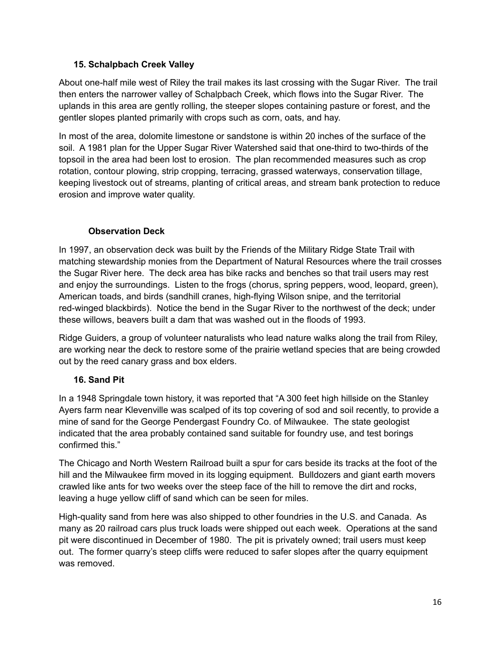## **15. Schalpbach Creek Valley**

About one-half mile west of Riley the trail makes its last crossing with the Sugar River. The trail then enters the narrower valley of Schalpbach Creek, which flows into the Sugar River. The uplands in this area are gently rolling, the steeper slopes containing pasture or forest, and the gentler slopes planted primarily with crops such as corn, oats, and hay.

In most of the area, dolomite limestone or sandstone is within 20 inches of the surface of the soil. A 1981 plan for the Upper Sugar River Watershed said that one-third to two-thirds of the topsoil in the area had been lost to erosion. The plan recommended measures such as crop rotation, contour plowing, strip cropping, terracing, grassed waterways, conservation tillage, keeping livestock out of streams, planting of critical areas, and stream bank protection to reduce erosion and improve water quality.

# **Observation Deck**

In 1997, an observation deck was built by the Friends of the Military Ridge State Trail with matching stewardship monies from the Department of Natural Resources where the trail crosses the Sugar River here. The deck area has bike racks and benches so that trail users may rest and enjoy the surroundings. Listen to the frogs (chorus, spring peppers, wood, leopard, green), American toads, and birds (sandhill cranes, high-flying Wilson snipe, and the territorial red-winged blackbirds). Notice the bend in the Sugar River to the northwest of the deck; under these willows, beavers built a dam that was washed out in the floods of 1993.

Ridge Guiders, a group of volunteer naturalists who lead nature walks along the trail from Riley, are working near the deck to restore some of the prairie wetland species that are being crowded out by the reed canary grass and box elders.

# **16. Sand Pit**

In a 1948 Springdale town history, it was reported that "A 300 feet high hillside on the Stanley Ayers farm near Klevenville was scalped of its top covering of sod and soil recently, to provide a mine of sand for the George Pendergast Foundry Co. of Milwaukee. The state geologist indicated that the area probably contained sand suitable for foundry use, and test borings confirmed this."

The Chicago and North Western Railroad built a spur for cars beside its tracks at the foot of the hill and the Milwaukee firm moved in its logging equipment. Bulldozers and giant earth movers crawled like ants for two weeks over the steep face of the hill to remove the dirt and rocks, leaving a huge yellow cliff of sand which can be seen for miles.

High-quality sand from here was also shipped to other foundries in the U.S. and Canada. As many as 20 railroad cars plus truck loads were shipped out each week. Operations at the sand pit were discontinued in December of 1980. The pit is privately owned; trail users must keep out. The former quarry's steep cliffs were reduced to safer slopes after the quarry equipment was removed.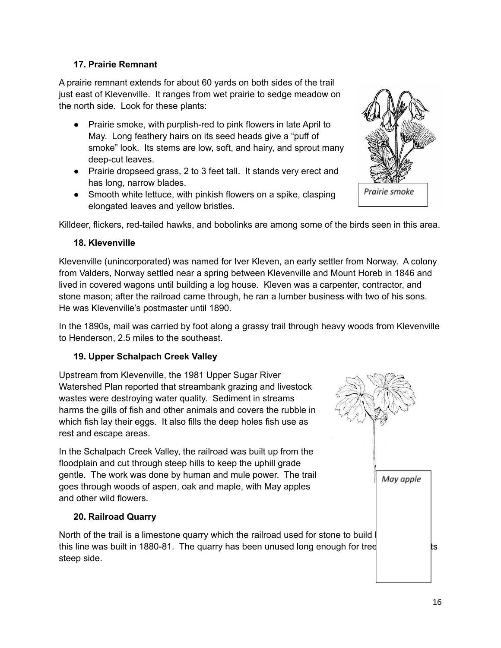## **17. Prairie Remnant**

A prairie remnant extends for about 60 yards on both sides of the trail just east of Klevenville. It ranges from wet prairie to sedge meadow on the north side. Look for these plants:

- Prairie smoke, with purplish-red to pink flowers in late April to May. Long feathery hairs on its seed heads give a "puff of smoke" look. Its stems are low, soft, and hairy, and sprout many deep-cut leaves.
- Prairie dropseed grass, 2 to 3 feet tall. It stands very erect and has long, narrow blades.
- Smooth white lettuce, with pinkish flowers on a spike, clasping elongated leaves and yellow bristles.



Killdeer, flickers, red-tailed hawks, and bobolinks are among some of the birds seen in this area.

#### **18. Klevenville**

Klevenville (unincorporated) was named for Iver Kleven, an early settler from Norway. A colony from Valders, Norway settled near a spring between Klevenville and Mount Horeb in 1846 and lived in covered wagons until building a log house. Kleven was a carpenter, contractor, and stone mason; after the railroad came through, he ran a lumber business with two of his sons. He was Klevenville's postmaster until 1890.

In the 1890s, mail was carried by foot along a grassy trail through heavy woods from Klevenville to Henderson, 2.5 miles to the southeast.

## **19. Upper Schalpach Creek Valley**

Upstream from Klevenville, the 1981 Upper Sugar River Watershed Plan reported that streambank grazing and livestock wastes were destroying water quality. Sediment in streams harms the gills of fish and other animals and covers the rubble in which fish lay their eggs. It also fills the deep holes fish use as rest and escape areas.

In the Schalpach Creek Valley, the railroad was built up from the floodplain and cut through steep hills to keep the uphill grade gentle. The work was done by human and mule power. The trail goes through woods of aspen, oak and maple, with May apples and other wild flowers.

## **20. Railroad Quarry**

North of the trail is a limestone quarry which the railroad used for stone to build this line was built in 1880-81. The quarry has been unused long enough for tree steep side.

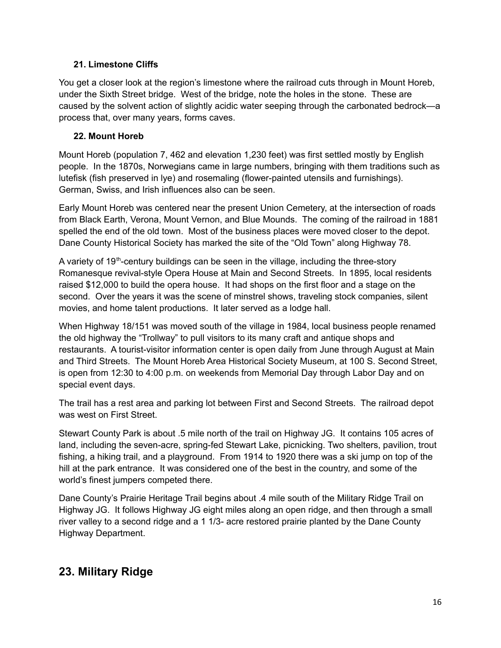## **21. Limestone Cliffs**

You get a closer look at the region's limestone where the railroad cuts through in Mount Horeb, under the Sixth Street bridge. West of the bridge, note the holes in the stone. These are caused by the solvent action of slightly acidic water seeping through the carbonated bedrock—a process that, over many years, forms caves.

## **22. Mount Horeb**

Mount Horeb (population 7, 462 and elevation 1,230 feet) was first settled mostly by English people. In the 1870s, Norwegians came in large numbers, bringing with them traditions such as lutefisk (fish preserved in lye) and rosemaling (flower-painted utensils and furnishings). German, Swiss, and Irish influences also can be seen.

Early Mount Horeb was centered near the present Union Cemetery, at the intersection of roads from Black Earth, Verona, Mount Vernon, and Blue Mounds. The coming of the railroad in 1881 spelled the end of the old town. Most of the business places were moved closer to the depot. Dane County Historical Society has marked the site of the "Old Town" along Highway 78.

A variety of 19<sup>th</sup>-century buildings can be seen in the village, including the three-story Romanesque revival-style Opera House at Main and Second Streets. In 1895, local residents raised \$12,000 to build the opera house. It had shops on the first floor and a stage on the second. Over the years it was the scene of minstrel shows, traveling stock companies, silent movies, and home talent productions. It later served as a lodge hall.

When Highway 18/151 was moved south of the village in 1984, local business people renamed the old highway the "Trollway" to pull visitors to its many craft and antique shops and restaurants. A tourist-visitor information center is open daily from June through August at Main and Third Streets. The Mount Horeb Area Historical Society Museum, at 100 S. Second Street, is open from 12:30 to 4:00 p.m. on weekends from Memorial Day through Labor Day and on special event days.

The trail has a rest area and parking lot between First and Second Streets. The railroad depot was west on First Street.

Stewart County Park is about .5 mile north of the trail on Highway JG. It contains 105 acres of land, including the seven-acre, spring-fed Stewart Lake, picnicking. Two shelters, pavilion, trout fishing, a hiking trail, and a playground. From 1914 to 1920 there was a ski jump on top of the hill at the park entrance. It was considered one of the best in the country, and some of the world's finest jumpers competed there.

Dane County's Prairie Heritage Trail begins about .4 mile south of the Military Ridge Trail on Highway JG. It follows Highway JG eight miles along an open ridge, and then through a small river valley to a second ridge and a 1 1/3- acre restored prairie planted by the Dane County Highway Department.

# **23. Military Ridge**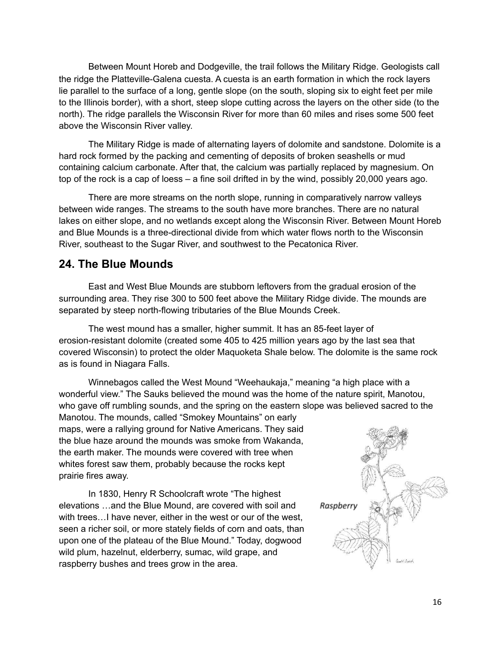Between Mount Horeb and Dodgeville, the trail follows the Military Ridge. Geologists call the ridge the Platteville-Galena cuesta. A cuesta is an earth formation in which the rock layers lie parallel to the surface of a long, gentle slope (on the south, sloping six to eight feet per mile to the Illinois border), with a short, steep slope cutting across the layers on the other side (to the north). The ridge parallels the Wisconsin River for more than 60 miles and rises some 500 feet above the Wisconsin River valley.

The Military Ridge is made of alternating layers of dolomite and sandstone. Dolomite is a hard rock formed by the packing and cementing of deposits of broken seashells or mud containing calcium carbonate. After that, the calcium was partially replaced by magnesium. On top of the rock is a cap of loess – a fine soil drifted in by the wind, possibly 20,000 years ago.

There are more streams on the north slope, running in comparatively narrow valleys between wide ranges. The streams to the south have more branches. There are no natural lakes on either slope, and no wetlands except along the Wisconsin River. Between Mount Horeb and Blue Mounds is a three-directional divide from which water flows north to the Wisconsin River, southeast to the Sugar River, and southwest to the Pecatonica River.

# **24. The Blue Mounds**

East and West Blue Mounds are stubborn leftovers from the gradual erosion of the surrounding area. They rise 300 to 500 feet above the Military Ridge divide. The mounds are separated by steep north-flowing tributaries of the Blue Mounds Creek.

The west mound has a smaller, higher summit. It has an 85-feet layer of erosion-resistant dolomite (created some 405 to 425 million years ago by the last sea that covered Wisconsin) to protect the older Maquoketa Shale below. The dolomite is the same rock as is found in Niagara Falls.

Winnebagos called the West Mound "Weehaukaja," meaning "a high place with a wonderful view." The Sauks believed the mound was the home of the nature spirit, Manotou, who gave off rumbling sounds, and the spring on the eastern slope was believed sacred to the

Manotou. The mounds, called "Smokey Mountains" on early maps, were a rallying ground for Native Americans. They said the blue haze around the mounds was smoke from Wakanda, the earth maker. The mounds were covered with tree when whites forest saw them, probably because the rocks kept prairie fires away.

In 1830, Henry R Schoolcraft wrote "The highest elevations …and the Blue Mound, are covered with soil and with trees…I have never, either in the west or our of the west, seen a richer soil, or more stately fields of corn and oats, than upon one of the plateau of the Blue Mound." Today, dogwood wild plum, hazelnut, elderberry, sumac, wild grape, and raspberry bushes and trees grow in the area.

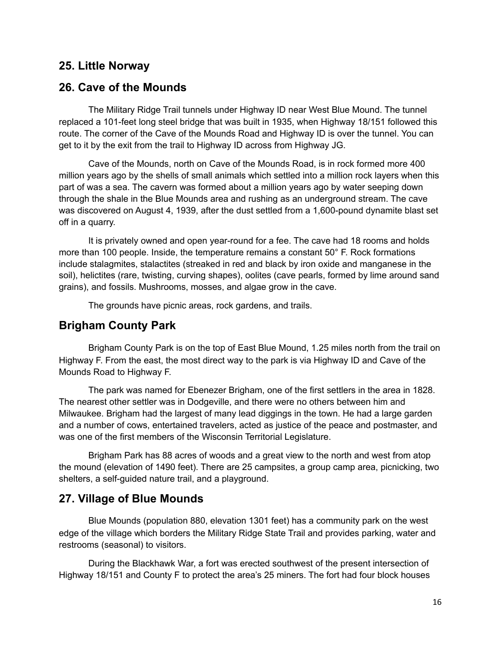# **25. Little Norway**

# **26. Cave of the Mounds**

The Military Ridge Trail tunnels under Highway ID near West Blue Mound. The tunnel replaced a 101-feet long steel bridge that was built in 1935, when Highway 18/151 followed this route. The corner of the Cave of the Mounds Road and Highway ID is over the tunnel. You can get to it by the exit from the trail to Highway ID across from Highway JG.

Cave of the Mounds, north on Cave of the Mounds Road, is in rock formed more 400 million years ago by the shells of small animals which settled into a million rock layers when this part of was a sea. The cavern was formed about a million years ago by water seeping down through the shale in the Blue Mounds area and rushing as an underground stream. The cave was discovered on August 4, 1939, after the dust settled from a 1,600-pound dynamite blast set off in a quarry.

It is privately owned and open year-round for a fee. The cave had 18 rooms and holds more than 100 people. Inside, the temperature remains a constant 50° F. Rock formations include stalagmites, stalactites (streaked in red and black by iron oxide and manganese in the soil), helictites (rare, twisting, curving shapes), oolites (cave pearls, formed by lime around sand grains), and fossils. Mushrooms, mosses, and algae grow in the cave.

The grounds have picnic areas, rock gardens, and trails.

# **Brigham County Park**

Brigham County Park is on the top of East Blue Mound, 1.25 miles north from the trail on Highway F. From the east, the most direct way to the park is via Highway ID and Cave of the Mounds Road to Highway F.

The park was named for Ebenezer Brigham, one of the first settlers in the area in 1828. The nearest other settler was in Dodgeville, and there were no others between him and Milwaukee. Brigham had the largest of many lead diggings in the town. He had a large garden and a number of cows, entertained travelers, acted as justice of the peace and postmaster, and was one of the first members of the Wisconsin Territorial Legislature.

Brigham Park has 88 acres of woods and a great view to the north and west from atop the mound (elevation of 1490 feet). There are 25 campsites, a group camp area, picnicking, two shelters, a self-guided nature trail, and a playground.

# **27. Village of Blue Mounds**

Blue Mounds (population 880, elevation 1301 feet) has a community park on the west edge of the village which borders the Military Ridge State Trail and provides parking, water and restrooms (seasonal) to visitors.

During the Blackhawk War, a fort was erected southwest of the present intersection of Highway 18/151 and County F to protect the area's 25 miners. The fort had four block houses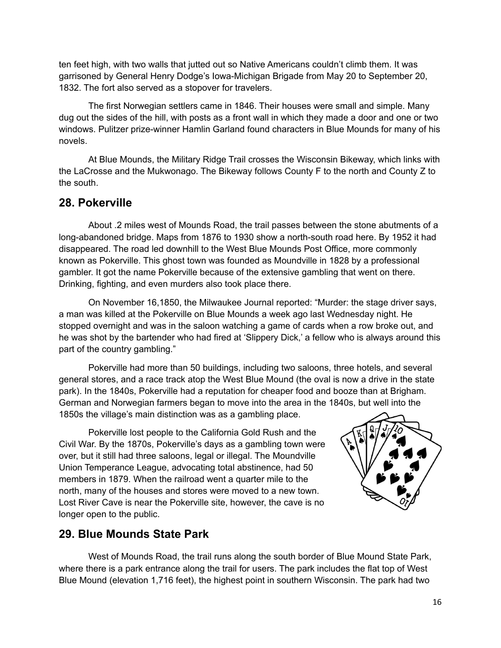ten feet high, with two walls that jutted out so Native Americans couldn't climb them. It was garrisoned by General Henry Dodge's Iowa-Michigan Brigade from May 20 to September 20, 1832. The fort also served as a stopover for travelers.

The first Norwegian settlers came in 1846. Their houses were small and simple. Many dug out the sides of the hill, with posts as a front wall in which they made a door and one or two windows. Pulitzer prize-winner Hamlin Garland found characters in Blue Mounds for many of his novels.

At Blue Mounds, the Military Ridge Trail crosses the Wisconsin Bikeway, which links with the LaCrosse and the Mukwonago. The Bikeway follows County F to the north and County Z to the south.

# **28. Pokerville**

About .2 miles west of Mounds Road, the trail passes between the stone abutments of a long-abandoned bridge. Maps from 1876 to 1930 show a north-south road here. By 1952 it had disappeared. The road led downhill to the West Blue Mounds Post Office, more commonly known as Pokerville. This ghost town was founded as Moundville in 1828 by a professional gambler. It got the name Pokerville because of the extensive gambling that went on there. Drinking, fighting, and even murders also took place there.

On November 16,1850, the Milwaukee Journal reported: "Murder: the stage driver says, a man was killed at the Pokerville on Blue Mounds a week ago last Wednesday night. He stopped overnight and was in the saloon watching a game of cards when a row broke out, and he was shot by the bartender who had fired at 'Slippery Dick,' a fellow who is always around this part of the country gambling."

Pokerville had more than 50 buildings, including two saloons, three hotels, and several general stores, and a race track atop the West Blue Mound (the oval is now a drive in the state park). In the 1840s, Pokerville had a reputation for cheaper food and booze than at Brigham. German and Norwegian farmers began to move into the area in the 1840s, but well into the 1850s the village's main distinction was as a gambling place.

Pokerville lost people to the California Gold Rush and the Civil War. By the 1870s, Pokerville's days as a gambling town were over, but it still had three saloons, legal or illegal. The Moundville Union Temperance League, advocating total abstinence, had 50 members in 1879. When the railroad went a quarter mile to the north, many of the houses and stores were moved to a new town. Lost River Cave is near the Pokerville site, however, the cave is no longer open to the public.



# **29. Blue Mounds State Park**

West of Mounds Road, the trail runs along the south border of Blue Mound State Park, where there is a park entrance along the trail for users. The park includes the flat top of West Blue Mound (elevation 1,716 feet), the highest point in southern Wisconsin. The park had two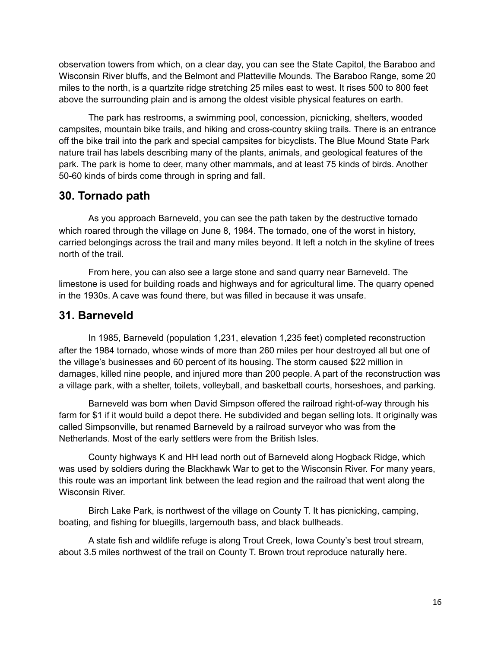observation towers from which, on a clear day, you can see the State Capitol, the Baraboo and Wisconsin River bluffs, and the Belmont and Platteville Mounds. The Baraboo Range, some 20 miles to the north, is a quartzite ridge stretching 25 miles east to west. It rises 500 to 800 feet above the surrounding plain and is among the oldest visible physical features on earth.

The park has restrooms, a swimming pool, concession, picnicking, shelters, wooded campsites, mountain bike trails, and hiking and cross-country skiing trails. There is an entrance off the bike trail into the park and special campsites for bicyclists. The Blue Mound State Park nature trail has labels describing many of the plants, animals, and geological features of the park. The park is home to deer, many other mammals, and at least 75 kinds of birds. Another 50-60 kinds of birds come through in spring and fall.

# **30. Tornado path**

As you approach Barneveld, you can see the path taken by the destructive tornado which roared through the village on June 8, 1984. The tornado, one of the worst in history, carried belongings across the trail and many miles beyond. It left a notch in the skyline of trees north of the trail.

From here, you can also see a large stone and sand quarry near Barneveld. The limestone is used for building roads and highways and for agricultural lime. The quarry opened in the 1930s. A cave was found there, but was filled in because it was unsafe.

# **31. Barneveld**

In 1985, Barneveld (population 1,231, elevation 1,235 feet) completed reconstruction after the 1984 tornado, whose winds of more than 260 miles per hour destroyed all but one of the village's businesses and 60 percent of its housing. The storm caused \$22 million in damages, killed nine people, and injured more than 200 people. A part of the reconstruction was a village park, with a shelter, toilets, volleyball, and basketball courts, horseshoes, and parking.

Barneveld was born when David Simpson offered the railroad right-of-way through his farm for \$1 if it would build a depot there. He subdivided and began selling lots. It originally was called Simpsonville, but renamed Barneveld by a railroad surveyor who was from the Netherlands. Most of the early settlers were from the British Isles.

County highways K and HH lead north out of Barneveld along Hogback Ridge, which was used by soldiers during the Blackhawk War to get to the Wisconsin River. For many years, this route was an important link between the lead region and the railroad that went along the Wisconsin River.

Birch Lake Park, is northwest of the village on County T. It has picnicking, camping, boating, and fishing for bluegills, largemouth bass, and black bullheads.

A state fish and wildlife refuge is along Trout Creek, Iowa County's best trout stream, about 3.5 miles northwest of the trail on County T. Brown trout reproduce naturally here.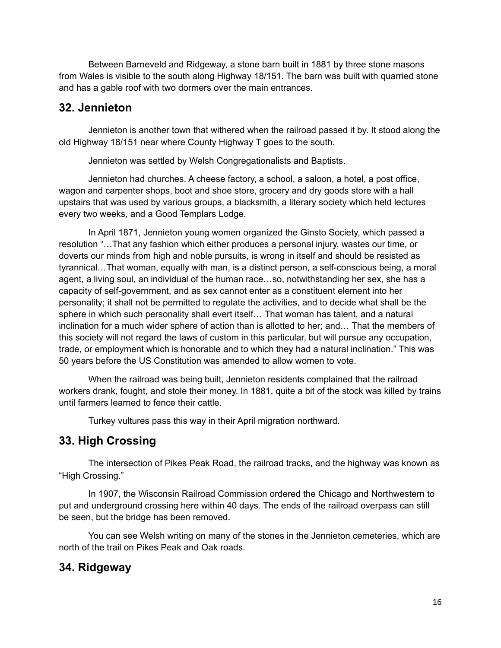Between Barneveld and Ridgeway, a stone barn built in 1881 by three stone masons from Wales is visible to the south along Highway 18/151. The barn was built with quarried stone and has a gable roof with two dormers over the main entrances.

# **32. Jennieton**

Jennieton is another town that withered when the railroad passed it by. It stood along the old Highway 18/151 near where County Highway T goes to the south.

Jennieton was settled by Welsh Congregationalists and Baptists.

Jennieton had churches. A cheese factory, a school, a saloon, a hotel, a post office, wagon and carpenter shops, boot and shoe store, grocery and dry goods store with a hall upstairs that was used by various groups, a blacksmith, a literary society which held lectures every two weeks, and a Good Templars Lodge.

In April 1871, Jennieton young women organized the Ginsto Society, which passed a resolution "…That any fashion which either produces a personal injury, wastes our time, or doverts our minds from high and noble pursuits, is wrong in itself and should be resisted as tyrannical…That woman, equally with man, is a distinct person, a self-conscious being, a moral agent, a living soul, an individual of the human race…so, notwithstanding her sex, she has a capacity of self-government, and as sex cannot enter as a constituent element into her personality; it shall not be permitted to regulate the activities, and to decide what shall be the sphere in which such personality shall evert itself… That woman has talent, and a natural inclination for a much wider sphere of action than is allotted to her; and… That the members of this society will not regard the laws of custom in this particular, but will pursue any occupation, trade, or employment which is honorable and to which they had a natural inclination." This was 50 years before the US Constitution was amended to allow women to vote.

When the railroad was being built, Jennieton residents complained that the railroad workers drank, fought, and stole their money. In 1881, quite a bit of the stock was killed by trains until farmers learned to fence their cattle.

Turkey vultures pass this way in their April migration northward.

# **33. High Crossing**

The intersection of Pikes Peak Road, the railroad tracks, and the highway was known as "High Crossing."

In 1907, the Wisconsin Railroad Commission ordered the Chicago and Northwestern to put and underground crossing here within 40 days. The ends of the railroad overpass can still be seen, but the bridge has been removed.

You can see Welsh writing on many of the stones in the Jennieton cemeteries, which are north of the trail on Pikes Peak and Oak roads.

# **34. Ridgeway**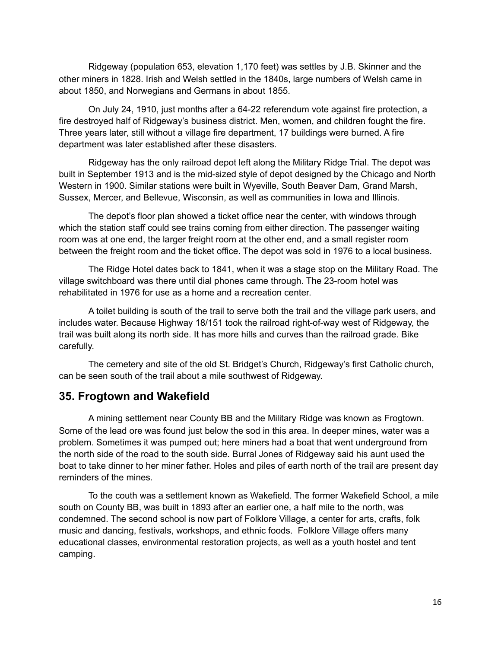Ridgeway (population 653, elevation 1,170 feet) was settles by J.B. Skinner and the other miners in 1828. Irish and Welsh settled in the 1840s, large numbers of Welsh came in about 1850, and Norwegians and Germans in about 1855.

On July 24, 1910, just months after a 64-22 referendum vote against fire protection, a fire destroyed half of Ridgeway's business district. Men, women, and children fought the fire. Three years later, still without a village fire department, 17 buildings were burned. A fire department was later established after these disasters.

Ridgeway has the only railroad depot left along the Military Ridge Trial. The depot was built in September 1913 and is the mid-sized style of depot designed by the Chicago and North Western in 1900. Similar stations were built in Wyeville, South Beaver Dam, Grand Marsh, Sussex, Mercer, and Bellevue, Wisconsin, as well as communities in Iowa and Illinois.

The depot's floor plan showed a ticket office near the center, with windows through which the station staff could see trains coming from either direction. The passenger waiting room was at one end, the larger freight room at the other end, and a small register room between the freight room and the ticket office. The depot was sold in 1976 to a local business.

The Ridge Hotel dates back to 1841, when it was a stage stop on the Military Road. The village switchboard was there until dial phones came through. The 23-room hotel was rehabilitated in 1976 for use as a home and a recreation center.

A toilet building is south of the trail to serve both the trail and the village park users, and includes water. Because Highway 18/151 took the railroad right-of-way west of Ridgeway, the trail was built along its north side. It has more hills and curves than the railroad grade. Bike carefully.

The cemetery and site of the old St. Bridget's Church, Ridgeway's first Catholic church, can be seen south of the trail about a mile southwest of Ridgeway.

## **35. Frogtown and Wakefield**

A mining settlement near County BB and the Military Ridge was known as Frogtown. Some of the lead ore was found just below the sod in this area. In deeper mines, water was a problem. Sometimes it was pumped out; here miners had a boat that went underground from the north side of the road to the south side. Burral Jones of Ridgeway said his aunt used the boat to take dinner to her miner father. Holes and piles of earth north of the trail are present day reminders of the mines.

To the couth was a settlement known as Wakefield. The former Wakefield School, a mile south on County BB, was built in 1893 after an earlier one, a half mile to the north, was condemned. The second school is now part of Folklore Village, a center for arts, crafts, folk music and dancing, festivals, workshops, and ethnic foods. Folklore Village offers many educational classes, environmental restoration projects, as well as a youth hostel and tent camping.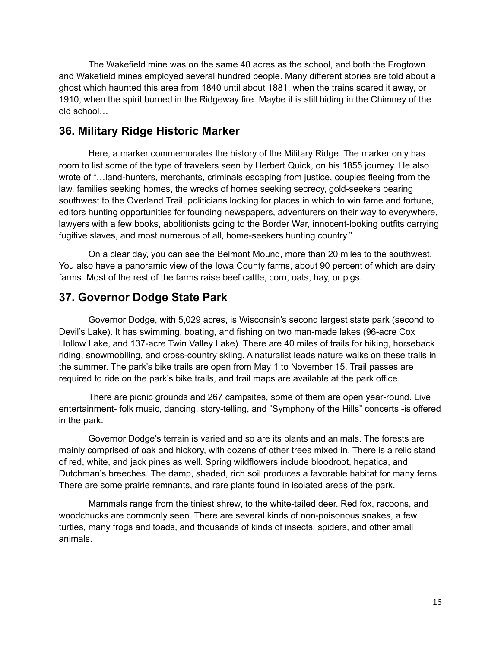The Wakefield mine was on the same 40 acres as the school, and both the Frogtown and Wakefield mines employed several hundred people. Many different stories are told about a ghost which haunted this area from 1840 until about 1881, when the trains scared it away, or 1910, when the spirit burned in the Ridgeway fire. Maybe it is still hiding in the Chimney of the old school…

# **36. Military Ridge Historic Marker**

Here, a marker commemorates the history of the Military Ridge. The marker only has room to list some of the type of travelers seen by Herbert Quick, on his 1855 journey. He also wrote of "…land-hunters, merchants, criminals escaping from justice, couples fleeing from the law, families seeking homes, the wrecks of homes seeking secrecy, gold-seekers bearing southwest to the Overland Trail, politicians looking for places in which to win fame and fortune, editors hunting opportunities for founding newspapers, adventurers on their way to everywhere, lawyers with a few books, abolitionists going to the Border War, innocent-looking outfits carrying fugitive slaves, and most numerous of all, home-seekers hunting country."

On a clear day, you can see the Belmont Mound, more than 20 miles to the southwest. You also have a panoramic view of the Iowa County farms, about 90 percent of which are dairy farms. Most of the rest of the farms raise beef cattle, corn, oats, hay, or pigs.

# **37. Governor Dodge State Park**

Governor Dodge, with 5,029 acres, is Wisconsin's second largest state park (second to Devil's Lake). It has swimming, boating, and fishing on two man-made lakes (96-acre Cox Hollow Lake, and 137-acre Twin Valley Lake). There are 40 miles of trails for hiking, horseback riding, snowmobiling, and cross-country skiing. A naturalist leads nature walks on these trails in the summer. The park's bike trails are open from May 1 to November 15. Trail passes are required to ride on the park's bike trails, and trail maps are available at the park office.

There are picnic grounds and 267 campsites, some of them are open year-round. Live entertainment- folk music, dancing, story-telling, and "Symphony of the Hills" concerts -is offered in the park.

Governor Dodge's terrain is varied and so are its plants and animals. The forests are mainly comprised of oak and hickory, with dozens of other trees mixed in. There is a relic stand of red, white, and jack pines as well. Spring wildflowers include bloodroot, hepatica, and Dutchman's breeches. The damp, shaded, rich soil produces a favorable habitat for many ferns. There are some prairie remnants, and rare plants found in isolated areas of the park.

Mammals range from the tiniest shrew, to the white-tailed deer. Red fox, racoons, and woodchucks are commonly seen. There are several kinds of non-poisonous snakes, a few turtles, many frogs and toads, and thousands of kinds of insects, spiders, and other small animals.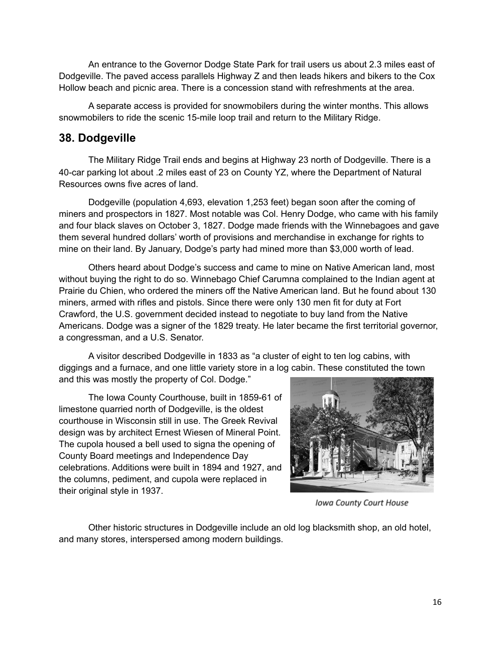An entrance to the Governor Dodge State Park for trail users us about 2.3 miles east of Dodgeville. The paved access parallels Highway Z and then leads hikers and bikers to the Cox Hollow beach and picnic area. There is a concession stand with refreshments at the area.

A separate access is provided for snowmobilers during the winter months. This allows snowmobilers to ride the scenic 15-mile loop trail and return to the Military Ridge.

# **38. Dodgeville**

The Military Ridge Trail ends and begins at Highway 23 north of Dodgeville. There is a 40-car parking lot about .2 miles east of 23 on County YZ, where the Department of Natural Resources owns five acres of land.

Dodgeville (population 4,693, elevation 1,253 feet) began soon after the coming of miners and prospectors in 1827. Most notable was Col. Henry Dodge, who came with his family and four black slaves on October 3, 1827. Dodge made friends with the Winnebagoes and gave them several hundred dollars' worth of provisions and merchandise in exchange for rights to mine on their land. By January, Dodge's party had mined more than \$3,000 worth of lead.

Others heard about Dodge's success and came to mine on Native American land, most without buying the right to do so. Winnebago Chief Carumna complained to the Indian agent at Prairie du Chien, who ordered the miners off the Native American land. But he found about 130 miners, armed with rifles and pistols. Since there were only 130 men fit for duty at Fort Crawford, the U.S. government decided instead to negotiate to buy land from the Native Americans. Dodge was a signer of the 1829 treaty. He later became the first territorial governor, a congressman, and a U.S. Senator.

A visitor described Dodgeville in 1833 as "a cluster of eight to ten log cabins, with diggings and a furnace, and one little variety store in a log cabin. These constituted the town and this was mostly the property of Col. Dodge."

The Iowa County Courthouse, built in 1859-61 of limestone quarried north of Dodgeville, is the oldest courthouse in Wisconsin still in use. The Greek Revival design was by architect Ernest Wiesen of Mineral Point. The cupola housed a bell used to signa the opening of County Board meetings and Independence Day celebrations. Additions were built in 1894 and 1927, and the columns, pediment, and cupola were replaced in their original style in 1937.



Iowa County Court House

Other historic structures in Dodgeville include an old log blacksmith shop, an old hotel, and many stores, interspersed among modern buildings.